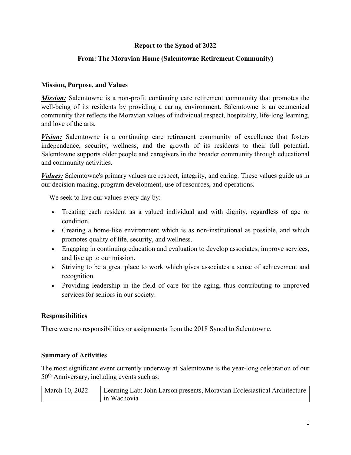# **Report to the Synod of 2022**

# **From: The Moravian Home (Salemtowne Retirement Community)**

#### **Mission, Purpose, and Values**

*Mission:* Salemtowne is a non-profit continuing care retirement community that promotes the well-being of its residents by providing a caring environment. Salemtowne is an ecumenical community that reflects the Moravian values of individual respect, hospitality, life-long learning, and love of the arts.

*Vision:* Salemtowne is a continuing care retirement community of excellence that fosters independence, security, wellness, and the growth of its residents to their full potential. Salemtowne supports older people and caregivers in the broader community through educational and community activities.

*Values:* Salemtowne's primary values are respect, integrity, and caring. These values guide us in our decision making, program development, use of resources, and operations.

We seek to live our values every day by:

- Treating each resident as a valued individual and with dignity, regardless of age or condition.
- Creating a home-like environment which is as non-institutional as possible, and which promotes quality of life, security, and wellness.
- Engaging in continuing education and evaluation to develop associates, improve services, and live up to our mission.
- Striving to be a great place to work which gives associates a sense of achievement and recognition.
- Providing leadership in the field of care for the aging, thus contributing to improved services for seniors in our society.

### **Responsibilities**

There were no responsibilities or assignments from the 2018 Synod to Salemtowne.

#### **Summary of Activities**

The most significant event currently underway at Salemtowne is the year-long celebration of our 50<sup>th</sup> Anniversary, including events such as:

| March 10, 2022 | Learning Lab: John Larson presents, Moravian Ecclesiastical Architecture |
|----------------|--------------------------------------------------------------------------|
|                | in Wachovia                                                              |